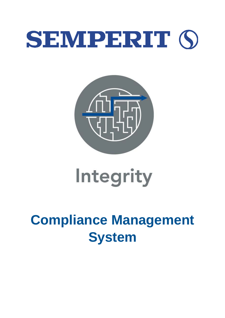## SEMPERIT (S



# Integrity

### **Compliance Management System**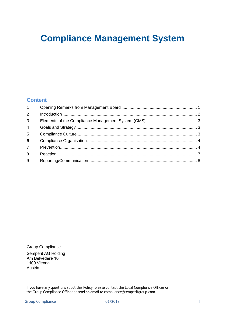### **Compliance Management System**

#### **Content**

| 1              |  |
|----------------|--|
| $\overline{2}$ |  |
| $\mathbf{3}$   |  |
| $\overline{4}$ |  |
| 5              |  |
| $6\phantom{1}$ |  |
| $\overline{7}$ |  |
| 8              |  |
| 9              |  |

Group Compliance Semperit AG Holding Am Belvedere 10 1100 Vienna Austria

If you have any questions about this Policy, please contact the Local Compliance Officer or the Group Compliance Officer or send an email to [compliance@semperitgroup.com.](mailto:compliance@semperitgroup.com)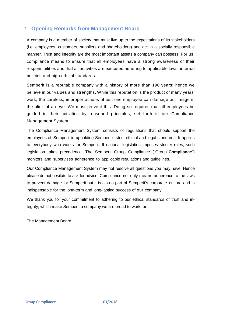#### <span id="page-2-0"></span>**1 Opening Remarks from Management Board**

A company is a member of society that must live up to the expectations of its stakeholders (i.e. employees, customers, suppliers and shareholders) and act in a socially responsible manner. Trust and integrity are the most important assets a company can possess. For us, compliance means to ensure that all employees have a strong awareness of their responsibilities and that all activities are executed adhering to applicable laws, internal policies and high ethical standards.

Semperit is a reputable company with a history of more than 190 years; hence we believe in our values and strengths. While this reputation is the product of many years' work, the careless, improper actions of just one employee can damage our image in the blink of an eye. We must prevent this. Doing so requires that all employees be guided in their activities by reasoned principles, set forth in our Compliance Management System.

The Compliance Management System consists of regulations that should support the employees of Semperit in upholding Semperit's strict ethical and legal standards. It applies to everybody who works for Semperit. If national legislation imposes stricter rules, such legislation takes precedence. The Semperit Group Compliance ("Group **Compliance**") monitors and supervises adherence to applicable regulations and guidelines.

Our Compliance Management System may not resolve all questions you may have. Hence please do not hesitate to ask for advice. Compliance not only means adherence to the laws to prevent damage for Semperit but it is also a part of Semperit's corporate culture and is indispensable for the long-term and long-lasting success of our company.

We thank you for your commitment to adhering to our ethical standards of trust and integrity, which make Semperit a company we are proud to work for.

The Management Board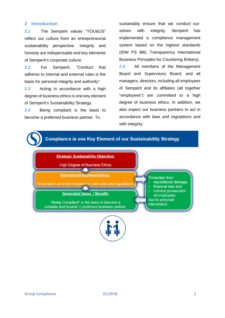#### <span id="page-3-0"></span>**2 Introduction**

**2.1** The Semperit values "YOU&US" reflect our culture from an entrepreneurial sustainability perspective. Integrity and honesty are indispensable and key elements of Semperit's corporate culture.

**2.2** For Semperit, "Conduct that adheres to internal and external rules is the basis for personal integrity and authority".

**2.3** Acting in accordance with a high degree of business ethics is one key element of Semperit's Sustainability Strategy.

**2.4** Being compliant is the basis to become a preferred business partner. To

sustainably ensure that we conduct ourselves with integrity, Semperit has implemented a compliance management system based on the highest standards (IDW PS 980, Transparency International Business Principles for Countering Bribery). **2.5** All members of the Management Board and Supervisory Board, and all managers, directors, including all employees of Semperit and its affiliates (all together "employees") are committed to a high degree of business ethics. In addition, we also expect our business partners to act in accordance with laws and regulations and with integrity.

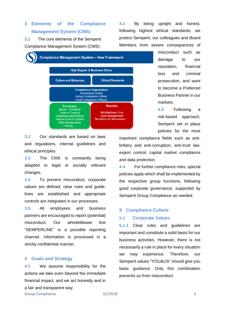#### <span id="page-4-0"></span>**3 Elements of the Compliance Management System (CMS)**

**3.1** The core elements of the Semperit Compliance Management System (CMS):

**4.2** By being upright and honest, following highest ethical standards, we protect Semperit, our colleagues and Board Members from severe consequences of



misconduct such as damage to our reputation, financial loss and criminal prosecution, and want to become a Preferred Business Partner in our markets.

**4.3** Following a risk-based approach, Semperit set in place policies for the most

**3.2** Our standards are based on laws and regulations, internal guidelines and ethical principles.

**3.3** The CMS is constantly being adapted to legal or socially relevant changes.

**3.4** To prevent misconduct, corporate values are defined, clear rules and guidelines are established and appropriate controls are integrated in our processes.

**3.5** All employees and business partners are encouraged to report (potential) misconduct. Our whistleblower line "SEMPERLINE" is a possible reporting channel. Information is processed in a strictly confidential manner.

#### <span id="page-4-1"></span>**4 Goals and Strategy**

**4.1** We assume responsibility for the actions we take even beyond the immediate financial impact, and we act honestly and in a fair and transparent way.

important compliance fields such as antibribery and anti-corruption, anti-trust law, export control, capital market compliance and data protection.

**4.4** For further compliance risks, special policies apply which shall be implemented by the respective group functions, following good corporate governance, supported by Semperit Group Compliance as needed.

#### <span id="page-4-2"></span>**5 Compliance Culture**

#### **5.1 Corporate Values**

**5.1.1** Clear rules and guidelines are important and constitute a solid basis for our business activities. However, there is not necessarily a rule in place for every situation we may experience. Therefore, our Semperit values "YOU&US" should give you basic guidance. Only this combination prevents us from misconduct.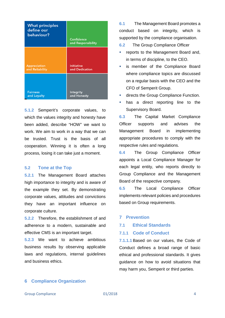| <b>What principles</b><br>define our<br>behaviour? | Confidence<br>and Responsibility |
|----------------------------------------------------|----------------------------------|
| <b>Appreciation</b>                                | <b>Initiative</b>                |
| and Reliability                                    | and Dedication                   |
| <b>Fairness</b>                                    | Integrity                        |
| and Loyalty                                        | and Honesty                      |

**5.1.2** Semperit's corporate values, to which the values integrity and honesty have been added, describe "HOW" we want to work. We aim to work in a way that we can be trusted. Trust is the basis of all cooperation. Winning it is often a long process, losing it can take just a moment.

#### **5.2 Tone at the Top**

**5.2.1** The Management Board attaches high importance to integrity and is aware of the example they set. By demonstrating corporate values, attitudes and convictions they have an important influence on corporate culture.

**5.2.2** Therefore, the establishment of and adherence to a modern, sustainable and effective CMS is an important target.

**5.2.3** We want to achieve ambitious business results by observing applicable laws and regulations, internal guidelines and business ethics.

**6.1** The Management Board promotes a conduct based on integrity, which is supported by the compliance organisation.

**6.2** The Group Compliance Officer

- reports to the Management Board and, in terms of discipline, to the CEO.
- **Example 1** is member of the Compliance Board where compliance topics are discussed on a regular basis with the CEO and the CFO of Semperit Group.
- directs the Group Compliance Function.
- has a direct reporting line to the Supervisory Board.

**6.3** The Capital Market Compliance Officer supports and advises the Management Board in implementing appropriate procedures to comply with the respective rules and regulations.

**6.4** The Group Compliance Officer appoints a Local Compliance Manager for each legal entity, who reports directly to Group Compliance and the Management Board of the respective company.

**6.5** The Local Compliance Officer implements relevant policies and procedures based on Group requirements.

#### <span id="page-5-1"></span>**7 Prevention**

#### **7.1 Ethical Standards**

#### **7.1.1 Code of Conduct**

**7.1.1.1** Based on our values, the Code of Conduct defines a broad range of basic ethical and professional standards. It gives guidance on how to avoid situations that may harm you, Semperit or third parties.

#### <span id="page-5-0"></span>**6 Compliance Organization**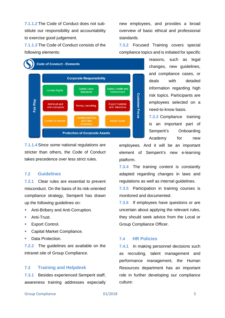**7.1.1.2** The Code of Conduct does not substitute our responsibility and accountability to exercise good judgement.

**7.1.1.3** The Code of Conduct consists of the following elements:



**7.1.1.4** Since some national regulations are stricter than others, the Code of Conduct takes precedence over less strict rules.

#### **7.2 Guidelines**

**7.2.1** Clear rules are essential to prevent misconduct. On the basis of its risk-oriented compliance strategy, Semperit has drawn up the following guidelines on:

- **Anti-Bribery and Anti-Corruption.**
- **Anti-Trust.**
- **Export Control.**
- **Capital Market Compliance.**
- **Data Protection.**

**7.2.2** The guidelines are available on the intranet site of Group Compliance.

#### **7.3 Training and Helpdesk**

**7.3.1** Besides experienced Semperit staff, awareness training addresses especially new employees, and provides a broad overview of basic ethical and professional standards.

**7.3.2** Focused Training covers special compliance topics and is initiated for specific

> reasons, such as legal changes, new guidelines, and compliance cases, or deals with detailed information regarding high risk topics. Participants are employees selected on a need-to-know basis.

> **7.3.3** Compliance training is an important part of Semperit's Onboarding Academy for new

employees. And it will be an important element of Semperit's new e-learning platform.

**7.3.4** The training content is constantly adapted regarding changes in laws and regulations as well as internal guidelines.

**7.3.5** Participation in training courses is monitored and documented.

**7.3.6** If employees have questions or are uncertain about applying the relevant rules, they should seek advice from the Local or Group Compliance Officer.

#### **7.4 HR Policies**

**7.4.1** In making personnel decisions such as recruiting, talent management and performance management, the Human Resources department has an important role in further developing our compliance culture: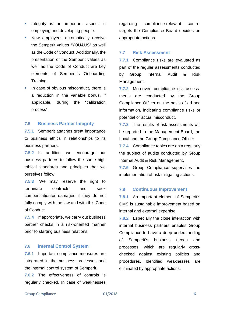- **Integrity is an important aspect in** employing and developing people.
- **New employees automatically receive** the Semperit values "YOU&US" as well as the Code of Conduct. Additionally, the presentation of the Semperit values as well as the Code of Conduct are key elements of Semperit's Onboarding Training.
- In case of obvious misconduct, there is a reduction in the variable bonus, if applicable, during the "calibration process".

#### **7.5 Business Partner Integrity**

**7.5.1** Semperit attaches great importance to business ethics in relationships to its business partners.

**7.5.2** In addition, we encourage our business partners to follow the same high ethical standards and principles that we ourselves follow.

**7.5.3** We may reserve the right to terminate contracts and seek compensationfor damages if they do not fully comply with the law and with this Code of Conduct.

**7.5.4** If appropriate, we carry out business partner checks in a risk-oriented manner prior to starting business relations.

#### **7.6 Internal Control System**

**7.6.1** Important compliance measures are integrated in the business processes and the internal control system of Semperit.

**7.6.2** The effectiveness of controls is regularly checked. In case of weaknesses regarding compliance-relevant control targets the Compliance Board decides on appropriate actions.

#### **7.7 Risk Assessment**

**7.7.1** Compliance risks are evaluated as part of the regular assessments conducted by Group Internal Audit & Risk Management.

**7.7.2** Moreover, compliance risk assessments are conducted by the Group Compliance Officer on the basis of ad hoc information, indicating compliance risks or potential or actual misconduct.

**7.7.3** The results of risk assessments will be reported to the Management Board, the Local and the Group Compliance Officer.

**7.7.4** Compliance topics are on a regularly the subject of audits conducted by Group Internal Audit & Risk Management.

**7.7.5** Group Compliance supervises the implementation of risk mitigating actions.

#### **7.8 Continuous Improvement**

**7.8.1** An important element of Semperit's CMS is sustainable improvement based on internal and external expertise.

**7.8.2** Especially the close interaction with internal business partners enables Group Compliance to have a deep understanding of Semperit's business needs and processes, which are regularly crosschecked against existing policies and procedures. Identified weaknesses are eliminated by appropriate actions.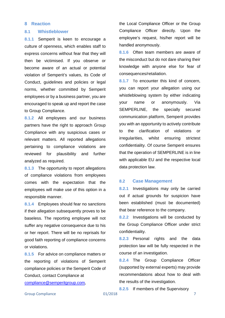#### <span id="page-8-0"></span>**8 Reaction**

#### **8.1 Whistleblower**

**8.1.1** Semperit is keen to encourage a culture of openness, which enables staff to express concerns without fear that they will then be victimised. If you observe or become aware of an actual or potential violation of Semperit's values, its Code of Conduct, guidelines and policies or legal norms, whether committed by Semperit employees or by a business partner, you are encouraged to speak up and report the case to Group Compliance.

**8.1.2** All employees and our business partners have the right to approach Group Compliance with any suspicious cases or relevant matters. All reported allegations pertaining to compliance violations are reviewed for plausibility and further analyzed as required.

**8.1.3** The opportunity to report allegations of compliance violations from employees comes with the expectation that the employees will make use of this option in a responsible manner.

**8.1.4** Employees should fear no sanctions if their allegation subsequently proves to be baseless. The reporting employee will not suffer any negative consequence due to his or her report. There will be no reprisals for good faith reporting of compliance concerns or violations.

**8.1.5** For advice on compliance matters or the reporting of violations of Semperit compliance policies or the Semperit Code of Conduct, contact Compliance at

[compliance@semperitgroup.com](mailto:compliance@semperitgroup.com),

the Local Compliance Officer or the Group Compliance Officer directly. Upon the employee's request, his/her report will be handled anonymously.

**8.1.6** Often team members are aware of the misconduct but do not dare sharing their knowledge with anyone else for fear of consequences/retaliation.

**8.1.7** To encounter this kind of concern, you can report your allegation using our whistleblowing system by either indicating your name or anonymously. Via SEMPERLINE, the specially secured communication platform, Semperit provides you with an opportunity to actively contribute to the clarification of violations or irregularities, whilst ensuring strictest confidentiality. Of course Semperit ensures that the operation of SEMPERLINE is in line with applicable EU and the respective local data protection law.

#### **8.2 Case Management**

**8.2.1** Investigations may only be carried out if actual grounds for suspicion have been established (must be documented) that bear reference to the company.

**8.2.2** Investigations will be conducted by the Group Compliance Officer under strict confidentiality.

**8.2.3** Personal rights and the data protection law will be fully respected in the course of an investigation.

**8.2.4** The Group Compliance Officer (supported by external experts) may provide recommendations about how to deal with the results of the investigation.

**8.2.5** If members of the Supervisory